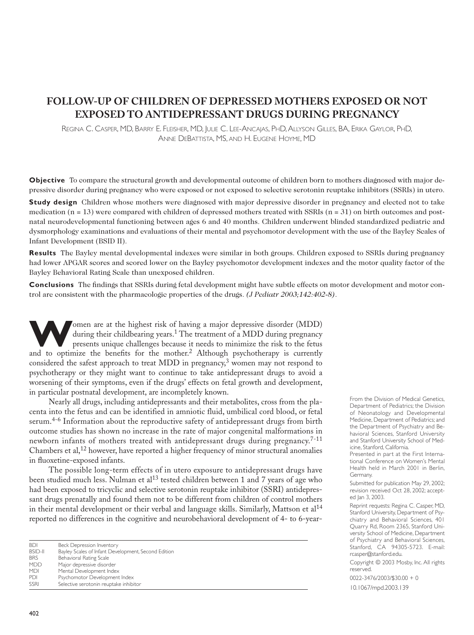### **FOLLOW-UP OF CHILDREN OF DEPRESSED MOTHERS EXPOSED OR NOT EXPOSED TO ANTIDEPRESSANT DRUGS DURING PREGNANCY**

REGINA C. CASPER, MD, BARRY E. FLEISHER, MD, JULIE C. LEE-ANCAIAS, PHD, ALLYSON GILLES, BA, ERIKA GAYLOR, PHD, ANNE DEBATTISTA, MS, AND H. EUGENE HOYME, MD

**Objective** To compare the structural growth and developmental outcome of children born to mothers diagnosed with major depressive disorder during pregnancy who were exposed or not exposed to selective serotonin reuptake inhibitors (SSRIs) in utero.

**Study design** Children whose mothers were diagnosed with major depressive disorder in pregnancy and elected not to take medication  $(n = 13)$  were compared with children of depressed mothers treated with SSRIs  $(n = 31)$  on birth outcomes and postnatal neurodevelopmental functioning between ages 6 and 40 months. Children underwent blinded standardized pediatric and dysmorphology examinations and evaluations of their mental and psychomotor development with the use of the Bayley Scales of Infant Development (BSID II).

**Results** The Bayley mental developmental indexes were similar in both groups. Children exposed to SSRIs during pregnancy had lower APGAR scores and scored lower on the Bayley psychomotor development indexes and the motor quality factor of the Bayley Behavioral Rating Scale than unexposed children.

**Conclusions** The findings that SSRIs during fetal development might have subtle effects on motor development and motor control are consistent with the pharmacologic properties of the drugs. *(J Pediatr 2003;142:402-8)*.

The treatment of a MDD during pregnancy<br>during their childbearing years.<sup>1</sup> The treatment of a MDD during pregnancy<br>presents unique challenges because it needs to minimize the risk to the fetus<br>and to optimize the benefits during their childbearing years.<sup>1</sup> The treatment of a MDD during pregnancy presents unique challenges because it needs to minimize the risk to the fetus and to optimize the benefits for the mother.<sup>2</sup> Although psychotherapy is currently considered the safest approach to treat MDD in pregnancy, $3$  women may not respond to psychotherapy or they might want to continue to take antidepressant drugs to avoid a worsening of their symptoms, even if the drugs' effects on fetal growth and development, in particular postnatal development, are incompletely known.

Nearly all drugs, including antidepressants and their metabolites, cross from the placenta into the fetus and can be identified in amniotic fluid, umbilical cord blood, or fetal serum.4-6 Information about the reproductive safety of antidepressant drugs from birth outcome studies has shown no increase in the rate of major congenital malformations in newborn infants of mothers treated with antidepressant drugs during pregnancy.<sup>7-11</sup> Chambers et al,  $12$  however, have reported a higher frequency of minor structural anomalies in fluoxetine-exposed infants.

The possible long-term effects of in utero exposure to antidepressant drugs have been studied much less. Nulman et al<sup>13</sup> tested children between 1 and 7 years of age who had been exposed to tricyclic and selective serotonin reuptake inhibitor (SSRI) antidepressant drugs prenatally and found them not to be different from children of control mothers in their mental development or their verbal and language skills. Similarly, Mattson et  $al<sup>14</sup>$ reported no differences in the cognitive and neurobehavioral development of 4- to 6-year-

| <b>BDI</b>     | <b>Beck Depression Inventory</b>                    |
|----------------|-----------------------------------------------------|
| <b>BSID-II</b> | Bayley Scales of Infant Development, Second Edition |
| <b>BRS</b>     | <b>Behavioral Rating Scale</b>                      |
| <b>MDD</b>     | Major depressive disorder                           |
| <b>MDI</b>     | Mental Development Index                            |
| PDI            | Psychomotor Development Index                       |
| SSRI           | Selective serotonin reuptake inhibitor              |
|                |                                                     |

From the Division of Medical Genetics, Department of Pediatrics; the Division of Neonatology and Developmental Medicine, Department of Pediatrics; and the Department of Psychiatry and Behavioral Sciences, Stanford University and Stanford University School of Medicine, Stanford, California.

Presented in part at the First International Conference on Women's Mental Health held in March 2001 in Berlin, Germany.

Submitted for publication May 29, 2002; revision received Oct 28, 2002; accepted Jan 3, 2003.

Reprint requests: Regina C. Casper, MD, Stanford University, Department of Psychiatry and Behavioral Sciences, 401 Quarry Rd, Room 2365, Stanford University School of Medicine, Department of Psychiatry and Behavioral Sciences, Stanford, CA 94305-5723. E-mail: rcasper@stanford.edu.

Copyright © 2003 Mosby, Inc. All rights reserved.

0022-3476/2003/\$30.00 + 0 10.1067/mpd.2003.139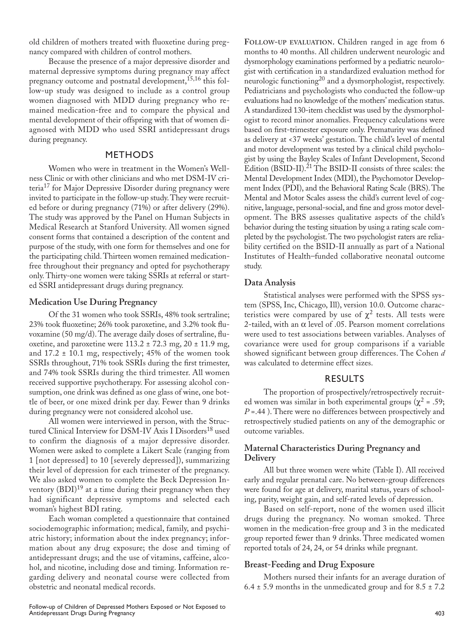old children of mothers treated with fluoxetine during pregnancy compared with children of control mothers.

Because the presence of a major depressive disorder and maternal depressive symptoms during pregnancy may affect pregnancy outcome and postnatal development,<sup>15,16</sup> this follow-up study was designed to include as a control group women diagnosed with MDD during pregnancy who remained medication-free and to compare the physical and mental development of their offspring with that of women diagnosed with MDD who used SSRI antidepressant drugs during pregnancy.

#### METHODS

Women who were in treatment in the Women's Wellness Clinic or with other clinicians and who met DSM-IV criteria<sup>17</sup> for Major Depressive Disorder during pregnancy were invited to participate in the follow-up study. They were recruited before or during pregnancy (71%) or after delivery (29%). The study was approved by the Panel on Human Subjects in Medical Research at Stanford University. All women signed consent forms that contained a description of the content and purpose of the study, with one form for themselves and one for the participating child. Thirteen women remained medicationfree throughout their pregnancy and opted for psychotherapy only. Thirty-one women were taking SSRIs at referral or started SSRI antidepressant drugs during pregnancy.

#### **Medication Use During Pregnancy**

Of the 31 women who took SSRIs, 48% took sertraline; 23% took fluoxetine; 26% took paroxetine, and 3.2% took fluvoxamine (50 mg/d). The average daily doses of sertraline, fluoxetine, and paroxetine were  $113.2 \pm 72.3$  mg,  $20 \pm 11.9$  mg, and  $17.2 \pm 10.1$  mg, respectively; 45% of the women took SSRIs throughout, 71% took SSRIs during the first trimester, and 74% took SSRIs during the third trimester. All women received supportive psychotherapy. For assessing alcohol consumption, one drink was defined as one glass of wine, one bottle of beer, or one mixed drink per day. Fewer than 9 drinks during pregnancy were not considered alcohol use.

All women were interviewed in person, with the Structured Clinical Interview for DSM-IV Axis I Disorders<sup>18</sup> used to confirm the diagnosis of a major depressive disorder. Women were asked to complete a Likert Scale (ranging from 1 [not depressed] to 10 [severely depressed]), summarizing their level of depression for each trimester of the pregnancy. We also asked women to complete the Beck Depression Inventory  $(BDI)^{19}$  at a time during their pregnancy when they had significant depressive symptoms and selected each woman's highest BDI rating.

Each woman completed a questionnaire that contained sociodemographic information; medical, family, and psychiatric history; information about the index pregnancy; information about any drug exposure; the dose and timing of antidepressant drugs; and the use of vitamins, caffeine, alcohol, and nicotine, including dose and timing. Information regarding delivery and neonatal course were collected from obstetric and neonatal medical records.

**FOLLOW-UP EVALUATION.** Children ranged in age from 6 months to 40 months. All children underwent neurologic and dysmorphology examinations performed by a pediatric neurologist with certification in a standardized evaluation method for neurologic functioning<sup>20</sup> and a dysmorphologist, respectively. Pediatricians and psychologists who conducted the follow-up evaluations had no knowledge of the mothers' medication status. A standardized 130-item checklist was used by the dysmorphologist to record minor anomalies. Frequency calculations were based on first-trimester exposure only. Prematurity was defined as delivery at <37 weeks' gestation. The child's level of mental and motor development was tested by a clinical child psychologist by using the Bayley Scales of Infant Development, Second Edition (BSID-II).21 The BSID-II consists of three scales: the Mental Development Index (MDI), the Psychomotor Development Index (PDI), and the Behavioral Rating Scale (BRS). The Mental and Motor Scales assess the child's current level of cognitive, language, personal-social, and fine and gross motor development. The BRS assesses qualitative aspects of the child's behavior during the testing situation by using a rating scale completed by the psychologist. The two psychologist raters are reliability certified on the BSID-II annually as part of a National Institutes of Health–funded collaborative neonatal outcome study.

#### **Data Analysis**

Statistical analyses were performed with the SPSS system (SPSS, Inc, Chicago, Ill), version 10.0. Outcome characteristics were compared by use of  $\chi^2$  tests. All tests were 2-tailed, with an  $\alpha$  level of .05. Pearson moment correlations were used to test associations between variables. Analyses of covariance were used for group comparisons if a variable showed significant between group differences. The Cohen *d* was calculated to determine effect sizes.

#### RESULTS

The proportion of prospectively/retrospectively recruited women was similar in both experimental groups ( $\chi^2$  = .59; *P* =.44 ). There were no differences between prospectively and retrospectively studied patients on any of the demographic or outcome variables.

#### **Maternal Characteristics During Pregnancy and Delivery**

All but three women were white (Table I). All received early and regular prenatal care. No between-group differences were found for age at delivery, marital status, years of schooling, parity, weight gain, and self-rated levels of depression.

Based on self-report, none of the women used illicit drugs during the pregnancy. No woman smoked. Three women in the medication-free group and 3 in the medicated group reported fewer than 9 drinks. Three medicated women reported totals of 24, 24, or 54 drinks while pregnant.

#### **Breast-Feeding and Drug Exposure**

Mothers nursed their infants for an average duration of  $6.4 \pm 5.9$  months in the unmedicated group and for  $8.5 \pm 7.2$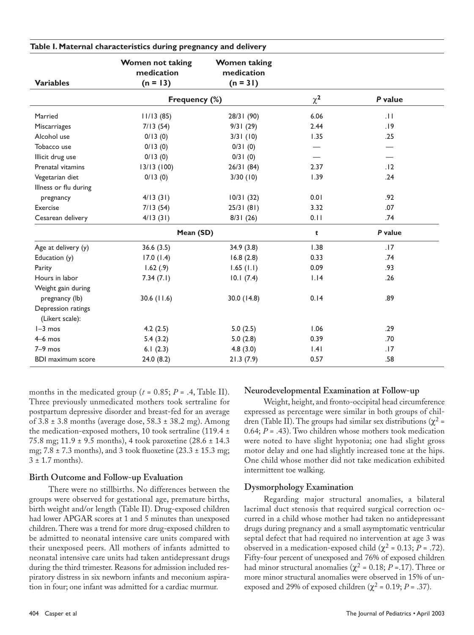| <b>Variables</b>         | <b>Women not taking</b><br>medication<br>$(n = 13)$ | <b>Women taking</b><br>medication<br>$(n = 31)$ |          |         |
|--------------------------|-----------------------------------------------------|-------------------------------------------------|----------|---------|
|                          | Frequency (%)                                       |                                                 | $\chi^2$ | P value |
| Married                  | 11/13(85)                                           | 28/31 (90)                                      | 6.06     | .11     |
| Miscarriages             | 7/13(54)                                            | 9/31(29)                                        | 2.44     | .19     |
| Alcohol use              | 0/13(0)                                             | 3/31(10)                                        | 1.35     | .25     |
| Tobacco use              | 0/13(0)                                             | 0/31(0)                                         |          |         |
| Illicit drug use         | 0/13(0)                                             | 0/31(0)                                         |          |         |
| Prenatal vitamins        | 13/13(100)                                          | 26/31(84)                                       | 2.37     | .12     |
| Vegetarian diet          | 0/13(0)                                             | 3/30(10)                                        | 1.39     | .24     |
| Illness or flu during    |                                                     |                                                 |          |         |
| pregnancy                | 4/13(31)                                            | 10/31(32)                                       | 0.01     | .92     |
| Exercise                 | 7/13(54)                                            | 25/31(81)                                       | 3.32     | .07     |
| Cesarean delivery        | 4/13(31)                                            | 8/31(26)                                        | 0.11     | .74     |
|                          | Mean (SD)                                           |                                                 | t        | P value |
| Age at delivery (y)      | 36.6(3.5)                                           | 34.9(3.8)                                       | 1.38     | .17     |
| Education (y)            | 17.0(1.4)                                           | 16.8(2.8)                                       | 0.33     | .74     |
| Parity                   | 1.62(.9)                                            | 1.65(1.1)                                       | 0.09     | .93     |
| Hours in labor           | 7.34(7.1)                                           | 10.1(7.4)                                       | 1.14     | .26     |
| Weight gain during       |                                                     |                                                 |          |         |
| pregnancy (lb)           | $30.6$ (11.6)                                       | 30.0(14.8)                                      | 0.14     | .89     |
| Depression ratings       |                                                     |                                                 |          |         |
| (Likert scale):          |                                                     |                                                 |          |         |
| $1-3$ mos                | 4.2(2.5)                                            | 5.0(2.5)                                        | 1.06     | .29     |
| $4-6$ mos                | 5.4(3.2)                                            | 5.0(2.8)                                        | 0.39     | .70     |
| $7-9$ mos                | 6.1(2.3)                                            | 4.8(3.0)                                        | .4       | .17     |
| <b>BDI</b> maximum score | 24.0(8.2)                                           | 21.3(7.9)                                       | 0.57     | .58     |

months in the medicated group  $(t = 0.85; P = .4$ , Table II). Three previously unmedicated mothers took sertraline for postpartum depressive disorder and breast-fed for an average of 3.8 ± 3.8 months (average dose, 58.3 ± 38.2 mg). Among the medication-exposed mothers, 10 took sertraline (119.4 ± 75.8 mg; 11.9 ± 9.5 months), 4 took paroxetine (28.6 ± 14.3 mg;  $7.8 \pm 7.3$  months), and 3 took fluoxetine  $(23.3 \pm 15.3$  mg;  $3 \pm 1.7$  months).

#### **Birth Outcome and Follow-up Evaluation**

There were no stillbirths. No differences between the groups were observed for gestational age, premature births, birth weight and/or length (Table II). Drug-exposed children had lower APGAR scores at 1 and 5 minutes than unexposed children. There was a trend for more drug-exposed children to be admitted to neonatal intensive care units compared with their unexposed peers. All mothers of infants admitted to neonatal intensive care units had taken antidepressant drugs during the third trimester. Reasons for admission included respiratory distress in six newborn infants and meconium aspiration in four; one infant was admitted for a cardiac murmur.

#### **Neurodevelopmental Examination at Follow-up**

Weight, height, and fronto-occipital head circumference expressed as percentage were similar in both groups of children (Table II). The groups had similar sex distributions ( $\chi^2$  = 0.64; *P* = .43). Two children whose mothers took medication were noted to have slight hypotonia; one had slight gross motor delay and one had slightly increased tone at the hips. One child whose mother did not take medication exhibited intermittent toe walking.

#### **Dysmorphology Examination**

Regarding major structural anomalies, a bilateral lacrimal duct stenosis that required surgical correction occurred in a child whose mother had taken no antidepressant drugs during pregnancy and a small asymptomatic ventricular septal defect that had required no intervention at age 3 was observed in a medication-exposed child ( $χ² = 0.13; P = .72$ ). Fifty-four percent of unexposed and 76% of exposed children had minor structural anomalies ( $\chi^2$  = 0.18; *P* = 17). Three or more minor structural anomalies were observed in 15% of unexposed and 29% of exposed children ( $χ² = 0.19; P = .37$ ).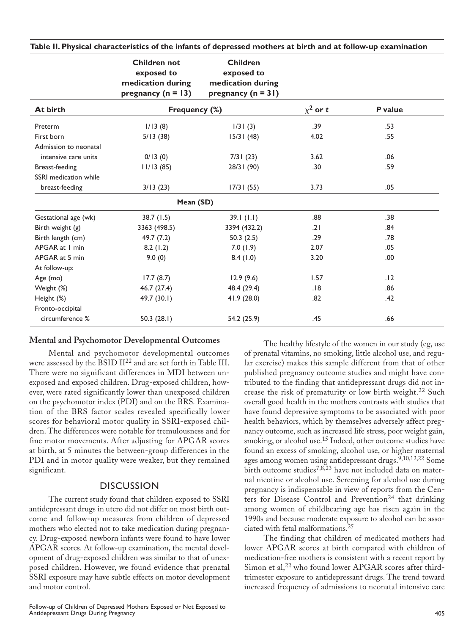|                       | <b>Children not</b><br>exposed to<br>medication during<br>pregnancy ( $n = 13$ ) | <b>Children</b><br>exposed to<br>medication during<br>pregnancy $(n = 31)$ |               |         |  |
|-----------------------|----------------------------------------------------------------------------------|----------------------------------------------------------------------------|---------------|---------|--|
| At birth              | Frequency (%)                                                                    |                                                                            | $\chi^2$ or t | P value |  |
| Preterm               | 1/13(8)                                                                          | 1/31(3)                                                                    | .39           | .53     |  |
| First born            | 5/13(38)                                                                         | 15/31(48)                                                                  | 4.02          | .55     |  |
| Admission to neonatal |                                                                                  |                                                                            |               |         |  |
| intensive care units  | 0/13(0)                                                                          | 7/31(23)                                                                   | 3.62          | .06     |  |
| Breast-feeding        | 11/13(85)                                                                        | 28/31 (90)                                                                 | .30           | .59     |  |
| SSRI medication while |                                                                                  |                                                                            |               |         |  |
| breast-feeding        | 3/13(23)                                                                         | 17/31(55)                                                                  | 3.73          | .05     |  |
|                       | Mean (SD)                                                                        |                                                                            |               |         |  |
| Gestational age (wk)  | 38.7 (1.5)                                                                       | 39.1(1.1)                                                                  | .88           | .38     |  |
| Birth weight (g)      | 3363 (498.5)                                                                     | 3394 (432.2)                                                               | .21           | .84     |  |
| Birth length (cm)     | 49.7 (7.2)                                                                       | 50.3(2.5)                                                                  | .29           | .78     |  |
| APGAR at 1 min        | 8.2(1.2)                                                                         | 7.0(1.9)                                                                   | 2.07          | .05     |  |
| APGAR at 5 min        | 9.0(0)                                                                           | 8.4(1.0)                                                                   | 3.20          | .00.    |  |
| At follow-up:         |                                                                                  |                                                                            |               |         |  |
| Age (mo)              | 17.7(8.7)                                                                        | 12.9(9.6)                                                                  | 1.57          | .12     |  |
| Weight (%)            | 46.7(27.4)                                                                       | 48.4 (29.4)                                                                | .18           | .86     |  |
| Height (%)            | 49.7 (30.1)                                                                      | 41.9(28.0)                                                                 | .82           | .42     |  |
| Fronto-occipital      |                                                                                  |                                                                            |               |         |  |
| circumference %       | 50.3(28.1)                                                                       | 54.2 (25.9)                                                                | .45           | .66     |  |

# **Table II. Physical characteristics of the infants of depressed mothers at birth and at follow-up examination**

#### **Mental and Psychomotor Developmental Outcomes**

Mental and psychomotor developmental outcomes were assessed by the BSID II<sup>22</sup> and are set forth in Table III. There were no significant differences in MDI between unexposed and exposed children. Drug-exposed children, however, were rated significantly lower than unexposed children on the psychomotor index (PDI) and on the BRS. Examination of the BRS factor scales revealed specifically lower scores for behavioral motor quality in SSRI-exposed children. The differences were notable for tremulousness and for fine motor movements. After adjusting for APGAR scores at birth, at 5 minutes the between-group differences in the PDI and in motor quality were weaker, but they remained significant.

#### **DISCUSSION**

The current study found that children exposed to SSRI antidepressant drugs in utero did not differ on most birth outcome and follow-up measures from children of depressed mothers who elected not to take medication during pregnancy. Drug-exposed newborn infants were found to have lower APGAR scores. At follow-up examination, the mental development of drug-exposed children was similar to that of unexposed children. However, we found evidence that prenatal SSRI exposure may have subtle effects on motor development and motor control.

Follow-up of Children of Depressed Mothers Exposed or Not Exposed to Antidepressant Drugs During Pregnancy 405

The healthy lifestyle of the women in our study (eg, use of prenatal vitamins, no smoking, little alcohol use, and regular exercise) makes this sample different from that of other published pregnancy outcome studies and might have contributed to the finding that antidepressant drugs did not increase the risk of prematurity or low birth weight.<sup>22</sup> Such overall good health in the mothers contrasts with studies that have found depressive symptoms to be associated with poor health behaviors, which by themselves adversely affect pregnancy outcome, such as increased life stress, poor weight gain, smoking, or alcohol use.<sup>15</sup> Indeed, other outcome studies have found an excess of smoking, alcohol use, or higher maternal ages among women using antidepressant drugs.<sup>9,10,12,22</sup> Some birth outcome studies<sup>7,8,23</sup> have not included data on maternal nicotine or alcohol use. Screening for alcohol use during pregnancy is indispensable in view of reports from the Centers for Disease Control and Prevention<sup>24</sup> that drinking among women of childbearing age has risen again in the 1990s and because moderate exposure to alcohol can be associated with fetal malformations.25

The finding that children of medicated mothers had lower APGAR scores at birth compared with children of medication-free mothers is consistent with a recent report by Simon et al, $^{22}$  who found lower APGAR scores after thirdtrimester exposure to antidepressant drugs. The trend toward increased frequency of admissions to neonatal intensive care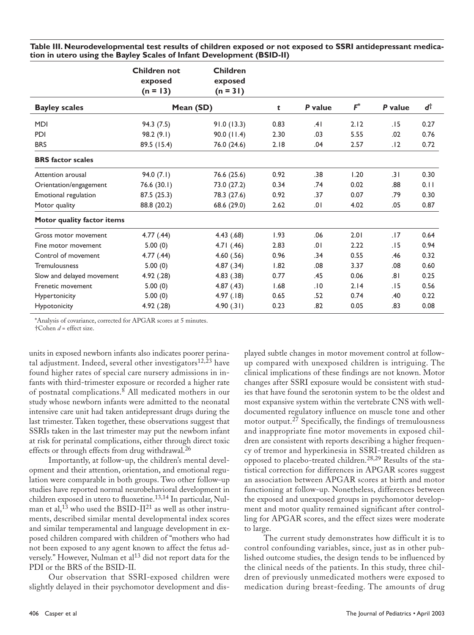| Table III. Neurodevelopmental test results of children exposed or not exposed to SSRI antidepressant medica- |  |
|--------------------------------------------------------------------------------------------------------------|--|
| tion in utero using the Bayley Scales of Infant Development (BSID-II)                                        |  |

|                            | <b>Children not</b><br>exposed<br>$(n = 13)$ | <b>Children</b><br>exposed<br>$(n = 31)$ |      |         |       |         |      |
|----------------------------|----------------------------------------------|------------------------------------------|------|---------|-------|---------|------|
| <b>Bayley scales</b>       | Mean (SD)                                    |                                          | t    | P value | $F^*$ | P value | ď    |
| <b>MDI</b>                 | 94.3 (7.5)                                   | 91.0(13.3)                               | 0.83 | .41     | 2.12  | .15     | 0.27 |
| PDI                        | 98.2(9.1)                                    | $90.0$ (11.4)                            | 2.30 | .03     | 5.55  | .02     | 0.76 |
| <b>BRS</b>                 | 89.5 (15.4)                                  | 76.0 (24.6)                              | 2.18 | .04     | 2.57  | .12     | 0.72 |
| <b>BRS</b> factor scales   |                                              |                                          |      |         |       |         |      |
| Attention arousal          | 94.0(7.1)                                    | 76.6 (25.6)                              | 0.92 | .38     | 1.20  | .31     | 0.30 |
| Orientation/engagement     | 76.6 (30.1)                                  | 73.0 (27.2)                              | 0.34 | .74     | 0.02  | .88     | 0.11 |
| Emotional regulation       | 87.5 (25.3)                                  | 78.3 (27.6)                              | 0.92 | .37     | 0.07  | .79     | 0.30 |
| Motor quality              | 88.8 (20.2)                                  | 68.6 (29.0)                              | 2.62 | .01     | 4.02  | .05     | 0.87 |
| Motor quality factor items |                                              |                                          |      |         |       |         |      |
| Gross motor movement       | 4.77(.44)                                    | 4.43(0.68)                               | 1.93 | .06     | 2.01  | .17     | 0.64 |
| Fine motor movement        | 5.00(0)                                      | 4.71( .46)                               | 2.83 | .01     | 2.22  | .15     | 0.94 |
| Control of movement        | 4.77(.44)                                    | 4.60(.56)                                | 0.96 | .34     | 0.55  | .46     | 0.32 |
| <b>Tremulousness</b>       | 5.00(0)                                      | 4.87(.34)                                | 1.82 | .08     | 3.37  | .08     | 0.60 |
| Slow and delayed movement  | 4.92(.28)                                    | 4.83(.38)                                | 0.77 | .45     | 0.06  | ا 8.    | 0.25 |
| Frenetic movement          | 5.00(0)                                      | 4.87(.43)                                | 1.68 | .10     | 2.14  | . I 5   | 0.56 |
| <b>Hypertonicity</b>       | 5.00(0)                                      | 4.97(.18)                                | 0.65 | .52     | 0.74  | .40     | 0.22 |
| Hypotonicity               | 4.92(.28)                                    | 4.90(.31)                                | 0.23 | .82     | 0.05  | .83     | 0.08 |

\*Analysis of covariance, corrected for APGAR scores at 5 minutes.

†Cohen *d* = effect size.

units in exposed newborn infants also indicates poorer perinatal adjustment. Indeed, several other investigators $12,23$  have found higher rates of special care nursery admissions in infants with third-trimester exposure or recorded a higher rate of postnatal complications.<sup>8</sup> All medicated mothers in our study whose newborn infants were admitted to the neonatal intensive care unit had taken antidepressant drugs during the last trimester. Taken together, these observations suggest that SSRIs taken in the last trimester may put the newborn infant at risk for perinatal complications, either through direct toxic effects or through effects from drug withdrawal.<sup>26</sup>

Importantly, at follow-up, the children's mental development and their attention, orientation, and emotional regulation were comparable in both groups. Two other follow-up studies have reported normal neurobehavioral development in children exposed in utero to fluoxetine.<sup>13,14</sup> In particular, Nulman et al,<sup>13</sup> who used the BSID-II<sup>21</sup> as well as other instruments, described similar mental developmental index scores and similar temperamental and language development in exposed children compared with children of "mothers who had not been exposed to any agent known to affect the fetus adversely." However, Nulman et al<sup>13</sup> did not report data for the PDI or the BRS of the BSID-II.

Our observation that SSRI-exposed children were slightly delayed in their psychomotor development and dis-

played subtle changes in motor movement control at followup compared with unexposed children is intriguing. The clinical implications of these findings are not known. Motor changes after SSRI exposure would be consistent with studies that have found the serotonin system to be the oldest and most expansive system within the vertebrate CNS with welldocumented regulatory influence on muscle tone and other motor output.<sup>27</sup> Specifically, the findings of tremulousness and inappropriate fine motor movements in exposed children are consistent with reports describing a higher frequency of tremor and hyperkinesia in SSRI-treated children as opposed to placebo-treated children.28,29 Results of the statistical correction for differences in APGAR scores suggest an association between APGAR scores at birth and motor functioning at follow-up. Nonetheless, differences between the exposed and unexposed groups in psychomotor development and motor quality remained significant after controlling for APGAR scores, and the effect sizes were moderate to large.

The current study demonstrates how difficult it is to control confounding variables, since, just as in other published outcome studies, the design tends to be influenced by the clinical needs of the patients. In this study, three children of previously unmedicated mothers were exposed to medication during breast-feeding. The amounts of drug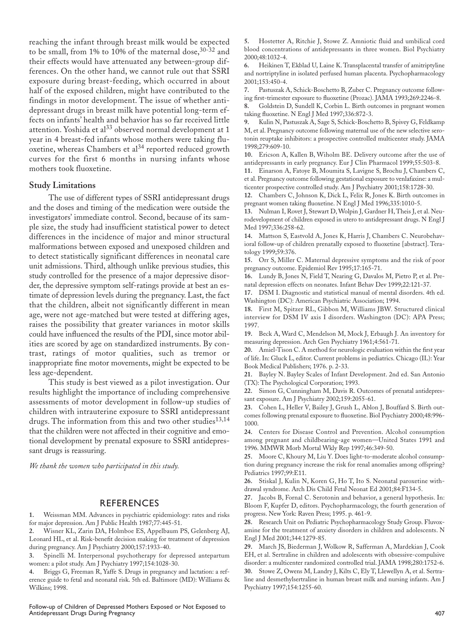reaching the infant through breast milk would be expected to be small, from 1% to 10% of the maternal dose,  $30-32$  and their effects would have attenuated any between-group differences. On the other hand, we cannot rule out that SSRI exposure during breast-feeding, which occurred in about half of the exposed children, might have contributed to the findings in motor development. The issue of whether antidepressant drugs in breast milk have potential long-term effects on infants' health and behavior has so far received little attention. Yoshida et al<sup>33</sup> observed normal development at 1 year in 4 breast-fed infants whose mothers were taking fluoxetine, whereas Chambers et  $al^{34}$  reported reduced growth curves for the first 6 months in nursing infants whose mothers took fluoxetine.

#### **Study Limitations**

The use of different types of SSRI antidepressant drugs and the doses and timing of the medication were outside the investigators' immediate control. Second, because of its sample size, the study had insufficient statistical power to detect differences in the incidence of major and minor structural malformations between exposed and unexposed children and to detect statistically significant differences in neonatal care unit admissions. Third, although unlike previous studies, this study controlled for the presence of a major depressive disorder, the depressive symptom self-ratings provide at best an estimate of depression levels during the pregnancy. Last, the fact that the children, albeit not significantly different in mean age, were not age-matched but were tested at differing ages, raises the possibility that greater variances in motor skills could have influenced the results of the PDI, since motor abilities are scored by age on standardized instruments. By contrast, ratings of motor qualities, such as tremor or inappropriate fine motor movements, might be expected to be less age-dependent.

This study is best viewed as a pilot investigation. Our results highlight the importance of including comprehensive assessments of motor development in follow-up studies of children with intrauterine exposure to SSRI antidepressant drugs. The information from this and two other studies $^{13,14}$ that the children were not affected in their cognitive and emotional development by prenatal exposure to SSRI antidepressant drugs is reassuring.

*We thank the women who participated in this study.*

#### REFERENCES

**1.** Weissman MM. Advances in psychiatric epidemiology: rates and risks for major depression. Am J Public Health 1987;77:445-51.

**2.** Wisner KL, Zarin DA, Holmboe ES, Appelbaum PS, Gelenberg AJ, Leonard HL, et al. Risk-benefit decision making for treatment of depression during pregnancy. Am J Psychiatry 2000;157:1933-40.

**3.** Spinelli M. Interpersonal psychotherapy for depressed antepartum women: a pilot study. Am J Psychiatry 1997;154:1028-30.

**4.** Briggs G, Freeman R, Yaffe S. Drugs in pregnancy and lactation: a reference guide to fetal and neonatal risk. 5th ed. Baltimore (MD): Williams & Wilkins; 1998.

Follow-up of Children of Depressed Mothers Exposed or Not Exposed to Antidepressant Drugs During Pregnancy 407

**5.** Hostetter A, Ritchie J, Stowe Z. Amniotic fluid and umbilical cord blood concentrations of antidepressants in three women. Biol Psychiatry 2000;48:1032-4.

**6.** Heikinen T, Ekblad U, Laine K. Transplacental transfer of amitriptyline and nortriptyline in isolated perfused human placenta. Psychopharmacology 2001;153:450-4.

**7.** Pastuszak A, Schick-Boschetto B, Zuber C. Pregnancy outcome following first-trimester exposure to fluoxetine (Prozac). JAMA 1993;269:2246-8.

**8.** Goldstein D, Sundell K, Corbin L. Birth outcomes in pregnant women taking fluoxetine. N Engl J Med 1997;336:872-3.

**9.** Kulin N, Pastuszak A, Sage S, Schick-Boschetto B, Spivey G, Feldkamp M, et al. Pregnancy outcome following maternal use of the new selective serotonin reuptake inhibitors: a prospective controlled multicenter study. JAMA 1998;279:609-10.

**10.** Ericson A, Kallen B, Wiholm BE. Delivery outcome after the use of antidepressants in early pregnancy. Eur J Clin Pharmacol 1999;55:503-8.

**11.** Einarson A, Fatoye B, Moumita S, Lavigne S, Brochu J, Chambers C, et al. Pregnancy outcome following gestational exposure to venlafaxine: a multicenter prospective controlled study. Am J Psychiatry 2001;158:1728-30.

**12.** Chambers C, Johnson K, Dick L, Felix R, Jones K. Birth outcomes in pregnant women taking fluoxetine. N Engl J Med 1996;335:1010-5.

**13.** Nulman I, Rovet J, Stewart D, Wolpin J, Gardner H, Theis J, et al. Neurodevelopment of children exposed in utero to antidepressant drugs. N Engl J Med 1997;336:258-62.

**14.** Mattson S, Eastvold A, Jones K, Harris J, Chambers C. Neurobehavioral follow-up of children prenatally exposed to fluoxetine [abstract]. Teratology 1999;59:376.

**15.** Orr S, Miller C. Maternal depressive symptoms and the risk of poor pregnancy outcome. Epidemiol Rev 1995;17:165-71.

**16.** Lundy B, Jones N, Field T, Nearing G, Davalos M, Pietro P, et al. Prenatal depression effects on neonates. Infant Behav Dev 1999;22:121-37.

**17.** DSM I. Diagnostic and statistical manual of mental disorders. 4th ed. Washington (DC): American Psychiatric Association; 1994.

**18.** First M, Spitzer RL, Gibbon M, Williams JBW. Structured clinical interview for DSM IV axis I disorders. Washington (DC): APA Press; 1997.

**19.** Beck A, Ward C, Mendelson M, Mock J, Erbaugh J. An inventory for measuring depression. Arch Gen Psychiatry 1961;4:561-71.

**20.** Amiel-Tison C. A method for neurologic evaluation within the first year of life. In: Gluck L, editor. Current problems in pediatrics. Chicago (IL): Year Book Medical Publishers; 1976. p. 2-33.

**21.** Bayley N. Bayley Scales of Infant Development. 2nd ed. San Antonio (TX): The Psychological Corporation; 1993.

**22.** Simon G, Cunningham M, Davis R. Outcomes of prenatal antidepressant exposure. Am J Psychiatry 2002;159:2055-61.

**23.** Cohen L, Heller V, Bailey J, Grush L, Ablon J, Bouffard S. Birth outcomes following prenatal exposure to fluoxetine. Biol Psychiatry 2000;48:996- 1000.

**24.** Centers for Disease Control and Prevention. Alcohol consumption among pregnant and childbearing-age women—United States 1991 and 1996. MMWR Morb Mortal Wkly Rep 1997;46:349-50.

**25.** Moore C, Khoury M, Liu Y. Does light-to-moderate alcohol consumption during pregnancy increase the risk for renal anomalies among offspring? Pediatrics 1997;99:E11.

**26.** Stiskal J, Kulin N, Koren G, Ho T, Ito S. Neonatal paroxetine withdrawal syndrome. Arch Dis Child Fetal Neonat Ed 2001;84:F134-5.

**27.** Jacobs B, Fornal C. Serotonin and behavior, a general hypothesis. In: Bloom F, Kupfer D, editors. Psychopharmacology, the fourth generation of progress. New York: Raven Press; 1995. p. 461-9.

**28.** Research Unit on Pediatric Psychopharmacology Study Group. Fluvoxamine for the treatment of anxiety disorders in children and adolescents. N Engl J Med 2001;344:1279-85.

**29.** March JS, Biederman J, Wolkow R, Safferman A, Mardekian J, Cook EH, et al. Sertraline in children and adolescents with obsessive-compulsive disorder: a multicenter randomized controlled trial. JAMA 1998;280:1752-6. **30.** Stowe Z, Owens M, Landry J, Kilts C, Ely T, Llewellyn A, et al. Sertraline and desmethylsertraline in human breast milk and nursing infants. Am J Psychiatry 1997;154:1255-60.